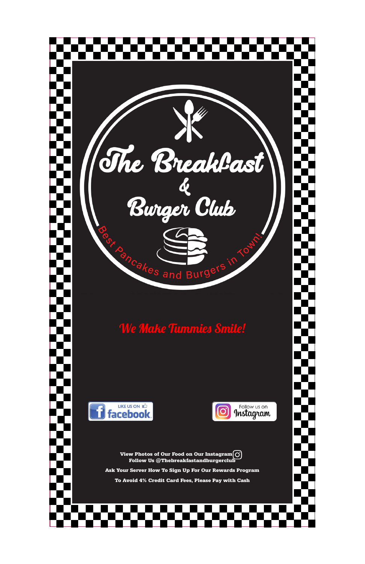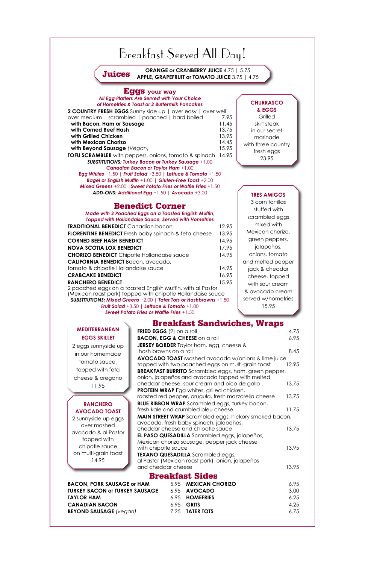#### Eggs **your way** *All Egg Platters Are Served with Your Choice*

*of Homefries & Toast or 2 Buttermilk Pancakes* **2 COUNTRY FRESH EGGS** Sunny side up | over easy | over well over medium | scrambled | poached | hard boiled 7.95 **with Bacon, Ham or Sausage 11.45 with Corned Beef Hash** 13.75 **with Grilled Chicken** 13.95 **with Mexican Chorizo** 14.45 **with Beyond Sausage** *(Vegan)* 15.95 **TOFU SCRAMBLER** with peppers, onions, tomato & spinach 14.95 *SUBSTITUTIONS: Turkey Bacon or Turkey Sausage* +1.00 *Canadian Bacon or Taylor Ham* +1.00 *Egg Whites* +1.50 *| Fruit Salad* +3.50 *| Lettuce & Tomato* +1.50 *Bagel or English Muffin* +1.00 | *Gluten-Free Toast* +2.00

*Mixed Greens* +2.00 *|Sweet Potato Fries or Waffle Fries* +1.50 *ADD-ONS: Additional Egg* +1.50 *| Avocado* +3.00

### Benedict Corner

*Made with 2 Poached Eggs on a Toasted English Muffin, Topped with Hollandaise Sauce, Served with Homefries*

| <b>TRADITIONAL BENEDICT</b> Canadian bacon                                | 12.95 |  |
|---------------------------------------------------------------------------|-------|--|
| <b>FLORENTINE BENEDICT</b> Fresh baby spinach & feta cheese               | 13.95 |  |
| <b>CORNED BEEF HASH BENEDICT</b>                                          | 14.95 |  |
| <b>NOVA SCOTIA LOX BENEDICT</b>                                           | 17.95 |  |
| <b>CHORIZO BENEDICT</b> Chipotle Hollandaise sauce                        | 14.95 |  |
| <b>CALIFORNIA BENEDICT Bacon, avocado,</b>                                |       |  |
| tomato & chipotle Hollandaise sauce                                       | 14.95 |  |
| <b>CRABCAKE BENEDICT</b>                                                  | 16.95 |  |
| <b>RANCHERO BENEDICT</b>                                                  | 15.95 |  |
| 2 poached eggs on a toasted English Muffin, with al Pastor                |       |  |
| (Mexican roast pork) topped with chipotle Hollandaise sauce               |       |  |
| <b>SUBSTITUTIONS: Mixed Greens +2.00   Tater Tots or Hashbrowns +1.50</b> |       |  |
| <b>Fruit Salad +3.50 Lettuce &amp; Tomato +1.00</b>                       |       |  |

**Grilled** skirt steak in our secret marinade with three country fresh eggs 23.95

*Fruit Salad* +3.50 *| Lettuce & Tomato* +1.00 *Sweet Potato Fries or Waffle Fries* +1.50

## Breakfast Sandwiches, Wraps

| <b>FRIED EGGS</b> $(2)$ on a roll                                                                              | 4.75  |
|----------------------------------------------------------------------------------------------------------------|-------|
| <b>BACON, EGG &amp; CHEESE</b> on a roll                                                                       | 6.95  |
| <b>JERSEY BORDER</b> Taylor ham, egg, cheese &                                                                 |       |
| hash browns on a roll                                                                                          | 8.45  |
| <b>AVOCADO TOAST</b> Mashed avocado w/onions & lime juice                                                      |       |
| topped with two poached eggs on multi-grain toast                                                              | 12.95 |
| <b>BREAKFAST BURRITO</b> Scrambled eggs, ham, green pepper,<br>onion, jalapeños and avocado topped with melted |       |
| cheddar cheese, sour cream and pico de gallo                                                                   | 13.75 |
| <b>PROTEIN WRAP</b> Egg whites, grilled chicken,                                                               |       |
| roasted red pepper, arugula, fresh mozzarella cheese                                                           | 13.75 |
| <b>BLUE RIBBON WRAP</b> Scrambled eggs, turkey bacon,                                                          |       |
| fresh kale and crumbled bleu cheese                                                                            | 11.75 |
|                                                                                                                |       |

#### **CHURRASCO & EGGS**

#### **TRES AMIGOS**

| 2 sunnyside up eggs                                                                                 |      | <b>MAIN STREET WRAP</b> Scrambled eggs, hickory smoked bacon,<br>avocado, fresh baby spinach, jalapeños,                                 |       |
|-----------------------------------------------------------------------------------------------------|------|------------------------------------------------------------------------------------------------------------------------------------------|-------|
| over mashed                                                                                         |      | cheddar cheese and chipotle sauce                                                                                                        | 13.75 |
| avocado & al Pastor<br>topped with<br>chipotle sauce<br>with chipotle sauce<br>on multi-grain toast |      | EL PASO QUESADILLA Scrambled eggs, jalapeños,<br>Mexican chorizo sausage, pepper jack cheese<br><b>TEXANO QUESADILLA</b> Scrambled eggs, | 13.95 |
| 14.95<br>and cheddar cheese                                                                         |      | al Pastor (Mexican roast pork), onion, jalapeños                                                                                         | 13.95 |
|                                                                                                     |      | <b>Breakfast Sides</b>                                                                                                                   |       |
| <b>BACON, PORK SAUSAGE or HAM</b>                                                                   | 5.95 | <b>MEXICAN CHORIZO</b>                                                                                                                   | 6.95  |
| <b>TURKEY BACON or TURKEY SAUSAGE</b>                                                               | 6.95 | <b>AVOCADO</b>                                                                                                                           | 3.00  |
| <b>TAYLOR HAM</b>                                                                                   | 6.95 | <b>HOMEFRIES</b>                                                                                                                         | 6.25  |
| <b>CANADIAN BACON</b>                                                                               | 6.95 | <b>GRITS</b>                                                                                                                             | 4.25  |
| <b>BEYOND SAUSAGE</b> (vegan)                                                                       | 7.25 | <b>TATER TOTS</b>                                                                                                                        | 6.75  |

3 corn tortillas stuffed with scrambled eggs mixed with Mexican chorizo, green peppers, jalapeños, onions, tomato and melted pepper jack & cheddar cheese, topped with sour cream & avocado cream served w/homefries 15.95

### **mediterranean eggs skillet**

2 eggs sunnyside up in our homemade tomato sauce, topped with feta cheese & oregano 11.95

#### **RANCHERO avocado toast**

# Breakfast Served All Day!

**Juices** ORANGE or CRANBERRY JUICE 4.75 | 5.75<br>APPLE, GRAPEFRUIT or TOMATO JUICE 3.75 | 4.75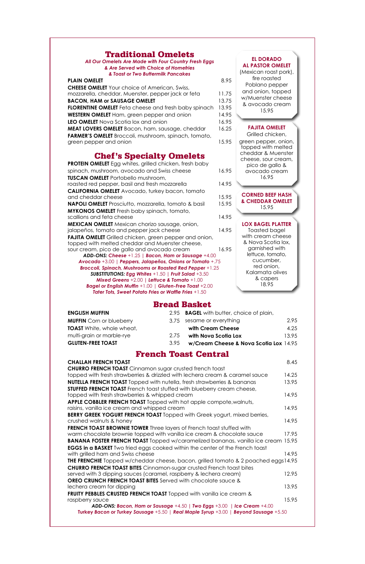### Traditional Omelets

*All Our Omelets Are Made with Four Country Fresh Eggs & Are Served with Choice of Homefries & Toast or Two Buttermilk Pancakes*

| <b>PLAIN OMELET</b>                                         | 8.95  |
|-------------------------------------------------------------|-------|
| <b>CHEESE OMELET</b> Your choice of American, Swiss,        |       |
| mozzarella, cheddar, Muenster, pepper jack or feta          | 11.75 |
| <b>BACON, HAM or SAUSAGE OMELET</b>                         | 13.75 |
| <b>FLORENTINE OMELET</b> Feta cheese and fresh baby spinach | 13.95 |
| WESTERN OMELET Ham, green pepper and onion                  | 14.95 |
| LEO OMELET Nova Scotia lox and onion                        | 16.95 |
| MEAT LOVERS OMELET Bacon, ham, sausage, cheddar             | 16.25 |
| <b>FARMER'S OMELET</b> Broccoli, mushroom, spinach, tomato, |       |
| green pepper and onion                                      | 15.95 |
|                                                             |       |

### Chef's Specialty Omelets

| <b>PROTEIN OMELET</b> Egg whites, grilled chicken, fresh baby                                                   |       |
|-----------------------------------------------------------------------------------------------------------------|-------|
| spinach, mushroom, avocado and Swiss cheese                                                                     | 16.95 |
| <b>TUSCAN OMELET</b> Portobello mushroom,                                                                       |       |
| roasted red pepper, basil and fresh mozzarella                                                                  | 14.95 |
| <b>CALIFORNIA OMELET</b> Avocado, turkey bacon, tomato                                                          |       |
| and cheddar cheese                                                                                              | 15.95 |
| <b>NAPOLI OMELET</b> Prosciutto, mozzarella, tomato & basil                                                     | 15.95 |
| <b>MYKONOS OMELET</b> Fresh baby spinach, tomato,                                                               |       |
| scallions and feta cheese                                                                                       | 14.95 |
| MEXICAN OMELET Mexican chorizo sausage, onion,                                                                  |       |
| jalapeños, tomato and pepper jack cheese                                                                        | 14.95 |
| <b>FAJITA OMELET</b> Grilled chicken, green pepper and onion,                                                   |       |
| topped with melted cheddar and Muenster cheese,                                                                 |       |
| sour cream, pico de gallo and avocado cream                                                                     | 16.95 |
| ADD-ONS: Cheese +1.25   Bacon, Ham or Sausage +4.00                                                             |       |
| Avocado +3.00   Peppers, Jalapeños, Onions or Tomato +.75                                                       |       |
| Broccoli, Spinach, Mushrooms or Roasted Red Pepper +1.25                                                        |       |
| <b>SUBSTITUTIONS: Egg Whites +1.50   Fruit Salad +3.50</b>                                                      |       |
| Mixed Greens +2.00   Lettuce & Tomato +1.00                                                                     |       |
| Bagel or English Muffin +1.00   Gluten-Free Toast +2.00<br>Tater Tots, Sweet Potato Fries or Waffle Fries +1.50 |       |
|                                                                                                                 |       |

### Bread Basket

| <b>ENGLISH MUFFIN</b>            |      | 2.95 <b>BAGEL</b> with butter, choice of plain, |       |
|----------------------------------|------|-------------------------------------------------|-------|
| <b>MUFFIN</b> Corn or blueberry  |      | 3.75 sesame or everything                       | 2.95  |
| <b>TOAST</b> White, whole wheat, |      | with Cream Cheese                               | 4.25  |
| multi-grain or marble-rye        | 2.75 | with Nova Scotia Lox                            | 13.95 |
| <b>GLUTEN-FREE TOAST</b>         | 3.95 | w/Cream Cheese & Nova Scotia Lox 14.95          |       |

### French Toast Central

| <b>CHALLAH FRENCH TOAST</b>                                                              | 8.45  |
|------------------------------------------------------------------------------------------|-------|
| <b>CHURRO FRENCH TOAST</b> Cinnamon sugar crusted french toast                           |       |
| topped with fresh strawberries & drizzled with lechera cream & caramel sauce             | 14.25 |
| <b>NUTELLA FRENCH TOAST</b> Topped with nutella, fresh strawberries & bananas            | 13.95 |
| <b>STUFFED FRENCH TOAST</b> French toast stuffed with blueberry cream cheese,            |       |
| topped with fresh strawberries & whipped cream                                           | 14.95 |
| APPLE COBBLER FRENCH TOAST Topped with hot apple compote, walnuts,                       |       |
| raisins, vanilla ice cream and whipped cream                                             | 14.95 |
| <b>BERRY GREEK YOGURT FRENCH TOAST Topped with Greek yogurt, mixed berries,</b>          |       |
| crushed walnuts & honey                                                                  | 14.95 |
| <b>FRENCH TOAST BROWNIE TOWER</b> Three layers of French toast stuffed with              |       |
| warm chocolate brownie topped with vanilla ice cream & chocolate sauce                   | 17.95 |
| <b>BANANA FOSTER FRENCH TOAST</b> Topped w/caramelized bananas, vanilla ice cream 15.95  |       |
| <b>EGGS in a BASKET</b> Two fried eggs cooked within the center of the French toast      |       |
| with grilled ham and Swiss cheese                                                        | 14.95 |
| <b>THE FRENCHIE</b> Topped w/cheddar cheese, bacon, grilled tomato & 2 poached eggs14.95 |       |
| <b>CHURRO FRENCH TOAST BITES</b> Cinnamon-sugar crusted French toast bites               |       |
| served with 3 dipping sauces (caramel, raspberry & lechera cream)                        | 12.95 |
| <b>OREO CRUNCH FRENCH TOAST BITES</b> Served with chocolate sauce &                      |       |
| lechera cream for dipping                                                                | 13.95 |
| <b>FRUITY PEBBLES CRUSTED FRENCH TOAST</b> Topped with vanilla ice cream &               |       |
| raspberry sauce                                                                          | 15.95 |
| ADD-ONS: Bacon, Ham or Sausage +4.50   Two Eggs +3.00   Ice Cream +4.00                  |       |
| Turkey Bacon or Turkey Sausage +5.50   Real Maple Syrup +3.00   Beyond Sausage +5.50     |       |
|                                                                                          |       |

#### **EL DORADO Al Pastor omelet**

(Mexican roast pork), fire roasted Poblano pepper and onion, topped w/Muenster cheese & avocado cream 15.95

#### **FAJITA Omelet**

Grilled chicken, green pepper, onion, topped with melted cheddar & Muenster cheese, sour cream, pico de gallo & avocado cream 16.95

**Lox BAGEL platter** Toasted bagel with cream cheese & Nova Scotia lox, garnished with lettuce, tomato, cucumber, red onion, Kalamata olives

& capers 18.95

#### **corned beef hash & cheddar Omelet** 15.95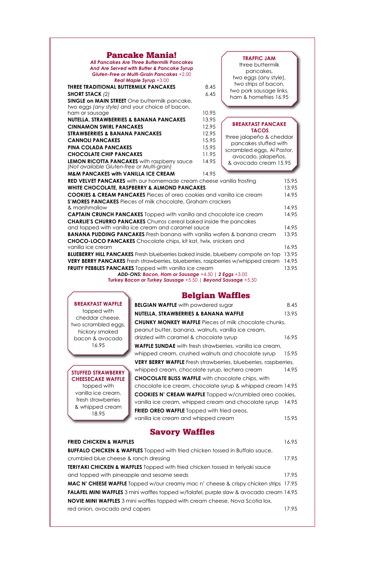| <b>Pancake Mania!</b><br><b>All Pancakes Are Three Buttermilk Pancakes</b><br>And Are Served with Butter & Pancake Syrup<br>Gluten-Free or Multi-Grain Pancakes +2.00<br><b>Real Maple Syrup +3.00</b><br><b>THREE TRADITIONAL BUTTERMILK PANCAKES</b><br><b>SHORT STACK (2)</b><br><b>SINGLE on MAIN STREET</b> One buttermilk pancake, | 8.45<br>6.45 | <b>TRAFFIC JAM</b><br>three buttermilk<br>pancakes,<br>two eggs (any style),<br>two strips of bacon,<br>two pork sausage links,<br>ham & homefries 16.95 |                |
|------------------------------------------------------------------------------------------------------------------------------------------------------------------------------------------------------------------------------------------------------------------------------------------------------------------------------------------|--------------|----------------------------------------------------------------------------------------------------------------------------------------------------------|----------------|
| two eggs (any style) and your choice of bacon,<br>ham or sausage                                                                                                                                                                                                                                                                         | 10.95        |                                                                                                                                                          |                |
| NUTELLA, STRAWBERRIES & BANANA PANCAKES                                                                                                                                                                                                                                                                                                  | 13.95        |                                                                                                                                                          |                |
| <b>CINNAMON SWIRL PANCAKES</b>                                                                                                                                                                                                                                                                                                           | 12.95        | <b>BREAKFAST PANCAKE</b>                                                                                                                                 |                |
| <b>STRAWBERRIES &amp; BANANA PANCAKES</b>                                                                                                                                                                                                                                                                                                | 12.95        | <b>TACOS</b>                                                                                                                                             |                |
| <b>CANNOLI PANCAKES</b>                                                                                                                                                                                                                                                                                                                  | 15.95        | three jalapeño & cheddar<br>pancakes stuffed with                                                                                                        |                |
| <b>PINA COLADA PANCAKES</b>                                                                                                                                                                                                                                                                                                              | 15.95        | scrambled eggs, Al Pastor,                                                                                                                               |                |
| <b>CHOCOLATE CHIP PANCAKES</b>                                                                                                                                                                                                                                                                                                           | 11.95        | avocado, jalapeños,                                                                                                                                      |                |
| <b>LEMON RICOTTA PANCAKES</b> with raspberry sauce<br>(Not available Gluten-free or Multi-grain)                                                                                                                                                                                                                                         | 14.95        | & avocado cream 15.95                                                                                                                                    |                |
| <b>M&amp;M PANCAKES with VANILLA ICE CREAM</b>                                                                                                                                                                                                                                                                                           | 14.95        |                                                                                                                                                          |                |
| RED VELVET PANCAKES with our homemade cream cheese vanilla frosting                                                                                                                                                                                                                                                                      |              |                                                                                                                                                          | 15.95          |
| <b>WHITE CHOCOLATE, RASPBERRY &amp; ALMOND PANCAKES</b>                                                                                                                                                                                                                                                                                  |              |                                                                                                                                                          | 13.95          |
| <b>COOKIES &amp; CREAM PANCAKES</b> Pieces of oreo cookies and vanilla ice cream                                                                                                                                                                                                                                                         |              |                                                                                                                                                          | 14.95          |
| S'MORES PANCAKES Pieces of milk chocolate, Graham crackers                                                                                                                                                                                                                                                                               |              |                                                                                                                                                          |                |
| & marshmallow                                                                                                                                                                                                                                                                                                                            |              |                                                                                                                                                          | 14.95          |
| <b>CAPTAIN CRUNCH PANCAKES</b> Topped with vanilla and chocolate ice cream<br><b>CHARLIE'S CHURRO PANCAKES</b> Churros cereal baked inside the pancakes                                                                                                                                                                                  |              |                                                                                                                                                          | 14.95          |
| and topped with vanilla ice cream and caramel sauce                                                                                                                                                                                                                                                                                      |              |                                                                                                                                                          | 14.95          |
| <b>BANANA PUDDING PANCAKES</b> Fresh banana with vanilla wafers & banana cream                                                                                                                                                                                                                                                           |              |                                                                                                                                                          | 13.95          |
| <b>CHOCO-LOCO PANCAKES</b> Chocolate chips, kit kat, twix, snickers and                                                                                                                                                                                                                                                                  |              |                                                                                                                                                          |                |
| vanilla ice cream                                                                                                                                                                                                                                                                                                                        |              |                                                                                                                                                          | 16.95          |
| <b>BLUEBERRY HILL PANCAKES</b> Fresh blueberries baked inside, blueberry compote on top                                                                                                                                                                                                                                                  |              |                                                                                                                                                          | 13.95          |
| <b>VERY BERRY PANCAKES</b> Fresh strawberries, blueberries, raspberries w/whipped cream                                                                                                                                                                                                                                                  |              |                                                                                                                                                          | 14.95<br>13.95 |
| FRUITY PEBBLES PANCAKES Topped with vanilla ice cream                                                                                                                                                                                                                                                                                    |              |                                                                                                                                                          |                |
| ADD-ONS: Bacon, Ham or Sausage +4.50   2 Eggs +3.00<br>Turkey Bacon or Turkey Sausage +5.50   Beyond Sausage +5.50                                                                                                                                                                                                                       |              |                                                                                                                                                          |                |

# Belgian Waffles

|                                                                                     |                                                                                      | <b>Beigian wannes</b>                                                                                              |       |
|-------------------------------------------------------------------------------------|--------------------------------------------------------------------------------------|--------------------------------------------------------------------------------------------------------------------|-------|
|                                                                                     | <b>BREAKFAST WAFFLE</b>                                                              | <b>BELGIAN WAFFLE</b> with powdered sugar                                                                          | 8.45  |
|                                                                                     | topped with                                                                          | NUTELLA, STRAWBERRIES & BANANA WAFFLE                                                                              | 13.95 |
|                                                                                     | cheddar cheese,<br>two scrambled eggs,<br>hickory smoked                             | <b>CHUNKY MONKEY WAFFLE Pieces of milk chocolate chunks,</b><br>peanut butter, banana, walnuts, vanilla ice cream, |       |
|                                                                                     | bacon & avocado                                                                      | drizzled with caramel & chocolate syrup                                                                            | 16.95 |
|                                                                                     | 16.95                                                                                | <b>WAFFLE SUNDAE</b> with fresh strawberries, vanilla ice cream,                                                   |       |
|                                                                                     |                                                                                      | whipped cream, crushed walnuts and chocolate syrup                                                                 | 15.95 |
|                                                                                     |                                                                                      | <b>VERY BERRY WAFFLE</b> Fresh strawberries, blueberries, raspberries,                                             |       |
|                                                                                     | <b>STUFFED STRAWBERRY</b>                                                            | whipped cream, chocolate syrup, lechera cream                                                                      | 14.95 |
|                                                                                     | <b>CHEESECAKE WAFFLE</b>                                                             | <b>CHOCOLATE BLISS WAFFLE</b> with chocolate chips, with                                                           |       |
|                                                                                     | topped with                                                                          | chocolate ice cream, chocolate syrup & whipped cream 14.95                                                         |       |
|                                                                                     | vanilla ice cream,<br><b>COOKIES N' CREAM WAFFLE Topped w/crumbled oreo cookies,</b> |                                                                                                                    |       |
| fresh strawberries<br>vanilla ice cream, whipped cream and chocolate syrup<br>14.95 |                                                                                      |                                                                                                                    |       |
|                                                                                     | & whipped cream<br>18 95                                                             | <b>FRIED OREO WAFFLE</b> Topped with fried oreos,                                                                  |       |

vanilla ice cream and whipped cream 15.95

### Savory Waffles

| <b>FRIED CHICKEN &amp; WAFFLES</b>                                                             | 16.95 |
|------------------------------------------------------------------------------------------------|-------|
| <b>BUFFALO CHICKEN &amp; WAFFLES</b> Topped with fried chicken tossed in Buffalo sauce,        |       |
| crumbled blue cheese & ranch dressing                                                          | 17.95 |
| TERIYAKI CHICKEN & WAFFLES Topped with fried chicken tossed in teriyaki sauce                  |       |
| and topped with pineapple and sesame seeds                                                     | 17.95 |
| <b>MAC N' CHEESE WAFFLE</b> Topped w/our creamy mac n' cheese & crispy chicken strips 17.95    |       |
| <b>FALAFEL MINI WAFFLES</b> 3 mini waffles topped w/falafel, purple slaw & avocado cream 14.95 |       |
| <b>NOVIE MINI WAFFLES</b> 3 mini waffles topped with cream cheese, Nova Scotia lox,            |       |
| red onion, avocado and capers                                                                  | 17.95 |
|                                                                                                |       |

18.95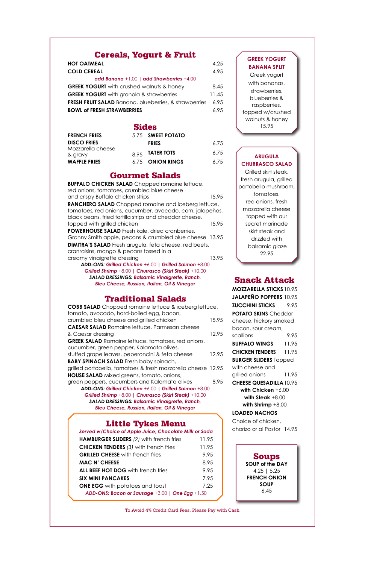Soups **SOUP of the DAY**  4.25 **|** 5.25 **FRENCH ONION SOUP**  6.45

| <b>HOT OATMEAL</b>                                           | 4.25  |
|--------------------------------------------------------------|-------|
| <b>COLD CEREAL</b>                                           | 4.95  |
| add Banana +1.00   add Strawberries +4.00                    |       |
| <b>GREEK YOGURT</b> with crushed walnuts & honey             | 8.45  |
| <b>GREEK YOGURT</b> with granola & strawberries              | 11.45 |
| <b>FRESH FRUIT SALAD</b> Banana, blueberries, & strawberries | 6.95  |
| <b>BOWL of FRESH STRAWBERRIES</b>                            | 6.95  |

### Cereals, Yogurt & Fruit

### Sides

| <b>FRENCH FRIES</b>          | 5.75 SWEET POTATO |      |
|------------------------------|-------------------|------|
| <b>DISCO FRIES</b>           | <b>FRIES</b>      | 6.75 |
| Mozzarella cheese<br>& gravy | $8.95$ TATER TOTS | 6.75 |
| <b>WAFFLE FRIES</b>          | 6.75 ONION RINGS  | 6.75 |

### Snack Attack

| <b>MOZZARELLA STICKS 10.95</b> |       |
|--------------------------------|-------|
| <b>JALAPEÑO POPPERS 10.95</b>  |       |
| <b>ZUCCHINI STICKS</b>         | 9.95  |
| <b>POTATO SKINS</b> Cheddar    |       |
| cheese, hickory smoked         |       |
| bacon, sour cream,             |       |
| scallions                      | 9.95  |
| <b>BUFFALO WINGS</b>           | 11.95 |
| CHICKEN TENDERS                | 11.95 |
| <b>BURGER SLIDERS</b> Topped   |       |
| with cheese and                |       |
| grilled onions                 | 11.95 |
| <b>CHEESE QUESADILLA 10.95</b> |       |
| with Chicken $+6.00$           |       |
| with Steak $+8.00$             |       |
| with Shrimp $+8.00$            |       |
| LOADED NACHOS                  |       |

# Little Tykes Menu

Choice of chicken, chorizo or al Pastor 14.95

### Gourmet Salads

| <b>BUFFALO CHICKEN SALAD Chopped romaine lettuce,</b>         |       |
|---------------------------------------------------------------|-------|
| red onions, tomatoes, crumbled blue cheese                    |       |
| and crispy Buffalo chicken strips                             | 15.95 |
| RANCHERO SALAD Chopped romaine and iceberg lettuce,           |       |
| tomatoes, red onions, cucumber, avocado, corn, jalapeños,     |       |
| black beans, fried tortilla strips and cheddar cheese,        |       |
| topped with grilled chicken                                   | 15.95 |
| <b>POWERHOUSE SALAD</b> Fresh kale, dried cranberries,        |       |
| Granny Smith apple, pecans & crumbled blue cheese 13.95       |       |
| <b>DIMITRA'S SALAD</b> Fresh arugula, feta cheese, red beets, |       |
| cranraisins, mango & pecans tossed in a                       |       |
| creamy vinaigrette dressing                                   | 13.95 |
| ADD-ONS: Grilled Chicken +6.00   Grilled Salmon +8.00         |       |
| Grilled Shrimp +8.00   Churrasco (Skirt Steak) +10.00         |       |
| CALAD DRECCINICS, Released Marchael & Republic                |       |

#### **GREEK YOGURT BANANA SPLIT**

*salad dressings: Balsamic Vinaigrette, Ranch, Bleu Cheese, Russian, Italian, Oil & Vinegar*

### Traditional Salads

| <b>COBB SALAD</b> Chopped romaine lettuce & iceberg lettuce,                                          |       |
|-------------------------------------------------------------------------------------------------------|-------|
| tomato, avocado, hard-boiled egg, bacon,<br>crumbled bleu cheese and grilled chicken                  | 15.95 |
| <b>CAESAR SALAD</b> Romaine lettuce, Parmesan cheese                                                  |       |
| & Caesar dressing                                                                                     | 12.95 |
| <b>GREEK SALAD</b> Romaine lettuce, tomatoes, red onions,<br>cucumber, green pepper, Kalamata olives, |       |
| stuffed grape leaves, peperoncini & feta cheese                                                       | 12.95 |
| <b>BABY SPINACH SALAD</b> Fresh baby spinach,                                                         |       |
| grilled portobello, tomatoes & fresh mozzarella cheese 12.95                                          |       |
| <b>HOUSE SALAD</b> Mixed greens, tomato, onions,                                                      |       |
| green peppers, cucumbers and Kalamata olives                                                          | 8.95  |
| ADD-ONS: Grilled Chicken +6.00   Grilled Salmon +8.00                                                 |       |
| Grilled Shrimp +8.00   Churrasco (Skirt Steak) +10.00                                                 |       |
| <b>SALAD DRESSINGS: Balsamic Vinaigrette, Ranch,</b>                                                  |       |
| <b>Bleu Cheese, Russian, Italian, Oil &amp; Vinegar</b>                                               |       |
|                                                                                                       |       |

| Served w/Choice of Apple Juice, Chocolate Milk or Soda |       |
|--------------------------------------------------------|-------|
| <b>HAMBURGER SLIDERS (2) with french fries</b>         | 11.95 |
| <b>CHICKEN TENDERS</b> (3) with french fries           | 11.95 |
| <b>GRILLED CHEESE</b> with french fries                | 9.95  |
| <b>MAC N' CHEESE</b>                                   | 8.95  |
| ALL BEEF HOT DOG with french fries                     | 9.95  |
| <b>SIX MINI PANCAKES</b>                               | 7.95  |
| <b>ONE EGG</b> with potatoes and toast                 | 7.25  |
| ADD-ONS: Bacon or Sausage +3.00   One Egg +1.50        |       |

#### **ARUGULA CHURRASCO SALAD**

Grilled skirt steak, fresh arugula, grilled portobello mushroom, tomatoes, red onions, fresh mozzarella cheese topped with our secret marinade skirt steak and drizzled with balsamic glaze 22.95

Greek yogurt with bananas, strawberries, blueberries & raspberries, topped w/crushed walnuts & honey 15.95

To Avoid 4% Credit Card Fees, Please Pay with Cash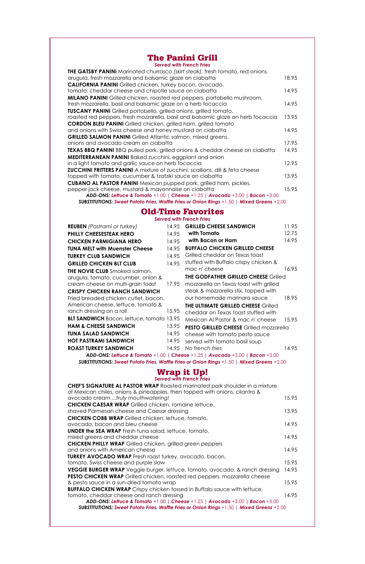### The Panini Grill

| <b>Served with French Fries</b> |  |  |  |  |
|---------------------------------|--|--|--|--|
|---------------------------------|--|--|--|--|

| <b>THE GATSBY PANINI</b> Marinated churrasco (skirt steak), fresh tomato, red onions,<br>arugula, fresh mozzarella and balsamic glaze on ciabatta | 18.95 |
|---------------------------------------------------------------------------------------------------------------------------------------------------|-------|
| <b>CALIFORNIA PANINI</b> Grilled chicken, turkey bacon, avocado,                                                                                  |       |
| tomato, cheddar cheese and chipotle sauce on ciabatta                                                                                             | 14.95 |
| <b>MILANO PANINI</b> Grilled chicken, roasted red peppers, portobello mushroom,                                                                   |       |
| fresh mozzarella, basil and balsamic glaze on a herb focaccia                                                                                     | 14.95 |
| <b>TUSCANY PANINI</b> Grilled portobello, grilled onions, grilled tomato,                                                                         |       |
| roasted red peppers, fresh mozzarella, basil and balsamic glaze on herb focaccia                                                                  | 13.95 |
| <b>CORDON BLEU PANINI</b> Grilled chicken, grilled ham, grilled tomato                                                                            |       |
| and onions with Swiss cheese and honey mustard on ciabatta                                                                                        | 14.95 |
| <b>GRILLED SALMON PANINI</b> Grilled Atlantic salmon, mixed greens,                                                                               |       |
| onions and avocado cream on ciabatta                                                                                                              | 17.95 |
| TEXAS BBQ PANINI BBQ pulled pork, grilled onions & cheddar cheese on ciabatta                                                                     | 14.95 |
| <b>MEDITERRANEAN PANINI</b> Baked zucchini, eggplant and onion                                                                                    |       |
| in a light tomato and garlic sauce on herb focaccia                                                                                               | 12.95 |
| <b>ZUCCHINI FRITTERS PANINI</b> A mixture of zucchini, scallions, dill & feta cheese                                                              |       |
| topped with tomato, cucumber & tzatziki sauce on ciabatta                                                                                         | 13.95 |
| <b>CUBANO AL PASTOR PANINI</b> Mexican pupped pork, grilled ham, pickles,                                                                         |       |
| pepper jack cheese, mustard & mayonnaise on ciabatta                                                                                              | 15.95 |
| ADD-ONS: Leffuce & Tomato +1.00   Cheese +1.25   Avocado +3.00   Bacon +3.00                                                                      |       |
| <b>SUBSTITUTIONS: Sweet Potato Fries, Waffle Fries or Onion Rings +1.50   Mixed Greens +2.00</b>                                                  |       |

### Wrap it Up!

| <b>Served with French Fries</b>                                                     |         |
|-------------------------------------------------------------------------------------|---------|
| <b>CHEF'S SIGNATURE AL PASTOR WRAP</b> Roasted marinated pork shoulder in a mixture |         |
| of Mexican chiles, onions & pineapples, then topped with onions, cilantro &         |         |
| avocado cream truly mouthwatering!                                                  | 1.5.9.5 |
| <b>CHICKEN CAESAR WRAP</b> Grilled chicken, romaine lettuce,                        |         |
| shaved Parmesan cheese and Caesar dressing                                          | 13.95   |

| <b>CHICKEN COBB WRAP</b> Grilled chicken, lettuce, tomato,                                       |       |
|--------------------------------------------------------------------------------------------------|-------|
| avocado, bacon and bleu cheese                                                                   | 14.95 |
| <b>UNDER the SEA WRAP</b> Fresh tuna salad, lettuce, tomato,                                     |       |
| mixed greens and cheddar cheese                                                                  | 14.95 |
| <b>CHICKEN PHILLY WRAP</b> Grilled chicken, grilled green peppers                                |       |
| and onions with American cheese                                                                  | 14.95 |
| <b>TURKEY AVOCADO WRAP</b> Fresh roast turkey, avocado, bacon,                                   |       |
| tomato, Swiss cheese and purple slaw                                                             | 15.95 |
| <b>VEGGIE BURGER WRAP</b> Veggie burger, lettuce, tomato, avocado, & ranch dressing              | 14.95 |
| <b>PESTO CHICKEN WRAP</b> Grilled chicken, roasted red peppers, mozzarella cheese                |       |
| & pesto sauce in a sun-dried tomato wrap                                                         | 15.95 |
| <b>BUFFALO CHICKEN WRAP</b> Crispy chicken tossed in Buffalo sauce with lettuce,                 |       |
| tomato, cheddar cheese and ranch dressing                                                        | 14.95 |
| ADD-ONS: Lettuce & Tomato +1.00   Cheese +1.25   Avocado +3.00   Bacon +3.00                     |       |
| <b>SUBSTITUTIONS: Sweet Potato Fries, Waffle Fries or Onion Rings +1.50   Mixed Greens +2.00</b> |       |
|                                                                                                  |       |

### Old-Time Favorites

#### *Served with French Fries*

| <b>REUBEN</b> (Pastrami or turkey)<br><b>PHILLY CHEESESTEAK HERO</b> | 14.95<br>14.95 | <b>GRILLED CHEESE SANDWICH</b><br>with Tomato                                                    | 11.95<br>12.75 |
|----------------------------------------------------------------------|----------------|--------------------------------------------------------------------------------------------------|----------------|
| <b>CHICKEN PARMIGIANA HERO</b>                                       | 14.95          | with Bacon or Ham                                                                                | 14.95          |
| <b>TUNA MELT with Muenster Cheese</b>                                | 14.95          | <b>BUFFALO CHICKEN GRILLED CHEESE</b>                                                            |                |
| <b>TURKEY CLUB SANDWICH</b>                                          | 14.95          | Grilled cheddar on Texas toast                                                                   |                |
| <b>GRILLED CHICKEN BLT CLUB</b>                                      | 14.95          | stuffed with Buffalo crispy chicken &                                                            |                |
| <b>THE NOVIE CLUB</b> Smoked salmon,                                 |                | mac n' cheese                                                                                    | 16.95          |
| arugula, tomato, cucumber, onion &                                   |                | <b>THE GODFATHER GRILLED CHEESE Grilled</b>                                                      |                |
| cream cheese on multi-grain toast                                    | 17.95          | mozzarella on Texas toast with grilled                                                           |                |
| <b>CRISPY CHICKEN RANCH SANDWICH</b>                                 |                | steak & mozzarella stix, topped with                                                             |                |
| Fried breaded chicken cutlet, bacon,                                 |                | our homemade marinara sauce                                                                      | 18.95          |
| American cheese, lettuce, tomato &                                   |                | <b>THE ULTIMATE GRILLED CHEESE Grilled</b>                                                       |                |
| ranch dressing on a roll                                             | 15.95          | cheddar on Texas toast stuffed with                                                              |                |
| <b>BLT SANDWICH</b> Bacon, lettuce, tomato 13.95                     |                | Mexican Al Pastor & mac n' cheese                                                                | 15.95          |
| <b>HAM &amp; CHEESE SANDWICH</b>                                     | 13.95          | <b>PESTO GRILLED CHEESE</b> Grilled mozzarella                                                   |                |
| <b>TUNA SALAD SANDWICH</b>                                           | 14.95          | cheese with tomato pesto sauce                                                                   |                |
| <b>HOT PASTRAMI SANDWICH</b>                                         | 14.95          | served with tomato basil soup                                                                    |                |
| <b>ROAST TURKEY SANDWICH</b>                                         | 14.95          | No french fries                                                                                  | 14.95          |
|                                                                      |                | ADD-ONS: Leffuce & Tomato +1.00   Cheese +1.25   Avocado +3.00   Bacon +3.00                     |                |
|                                                                      |                | <b>SUBSTITUTIONS: Sweet Potato Fries, Waffle Fries or Onion Rings +1.50   Mixed Greens +2.00</b> |                |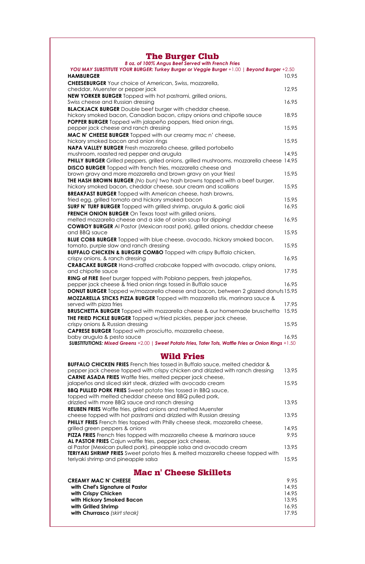| 8 oz. of 100% Angus Beef Served with French Fries                                                                                                  |       |
|----------------------------------------------------------------------------------------------------------------------------------------------------|-------|
| YOU MAY SUBSTITUTE YOUR BURGER: Turkey Burger or Veggie Burger +1.00   Beyond Burger +2.50                                                         |       |
| <b>HAMBURGER</b>                                                                                                                                   | 10.95 |
| <b>CHEESEBURGER</b> Your choice of American, Swiss, mozzarella,                                                                                    |       |
| cheddar, Muenster or pepper jack                                                                                                                   | 12.95 |
| NEW YORKER BURGER Topped with hot pastrami, grilled onions,                                                                                        |       |
| Swiss cheese and Russian dressing                                                                                                                  | 16.95 |
| <b>BLACKJACK BURGER</b> Double beef burger with cheddar cheese,                                                                                    |       |
| hickory smoked bacon, Canadian bacon, crispy onions and chipotle sauce                                                                             | 18.95 |
| POPPER BURGER Topped with jalapeño poppers, fried onion rings,                                                                                     |       |
| pepper jack cheese and ranch dressing                                                                                                              | 15.95 |
| MAC N' CHEESE BURGER Topped with our creamy mac n' cheese,                                                                                         |       |
| hickory smoked bacon and onion rings                                                                                                               | 15.95 |
| NAPA VALLEY BURGER Fresh mozzarella cheese, grilled portobello                                                                                     | 14.95 |
| mushroom, roasted red pepper and arugula                                                                                                           |       |
| <b>PHILLY BURGER</b> Grilled peppers, grilled onions, grilled mushrooms, mozzarella cheese 14.95                                                   |       |
| <b>DISCO BURGER</b> Topped with french fries, mozzarella cheese and                                                                                | 15.95 |
| brown gravy and more mozzarella and brown gravy on your fries!                                                                                     |       |
| <b>THE HASH BROWN BURGER</b> (No bun) two hash browns topped with a beef burger,<br>hickory smoked bacon, cheddar cheese, sour cream and scallions | 15.95 |
|                                                                                                                                                    |       |
| <b>BREAKFAST BURGER</b> Topped with American cheese, hash browns,<br>fried egg, grilled tomato and hickory smoked bacon                            | 15.95 |
| <b>SURF N' TURF BURGER</b> Topped with grilled shrimp, arugula & garlic aioli                                                                      | 16.95 |
| <b>FRENCH ONION BURGER</b> On Texas toast with grilled onions,                                                                                     |       |
| melted mozzarella cheese and a side of onion soup for dipping!                                                                                     | 16.95 |
| <b>COWBOY BURGER</b> AI Pastor (Mexican roast pork), grilled onions, cheddar cheese                                                                |       |
| and BBQ sauce                                                                                                                                      | 15.95 |
| <b>BLUE COBB BURGER</b> Topped with blue cheese, avocado, hickory smoked bacon,                                                                    |       |
| tomato, purple slaw and ranch dressing                                                                                                             | 15.95 |
| <b>BUFFALO CHICKEN &amp; BURGER COMBO Topped with crispy Buffalo chicken,</b>                                                                      |       |
| crispy onions, & ranch dressing                                                                                                                    | 16.95 |
| <b>CRABCAKE BURGER</b> Hand-crafted crabcake topped with avocado, crispy onions,                                                                   |       |
| and chipotle sauce                                                                                                                                 | 17.95 |
| RING of FIRE Beef burger topped with Poblano peppers, fresh jalapeños,                                                                             |       |
| pepper jack cheese & fried onion rings tossed in Buffalo sauce                                                                                     | 16.95 |
| <b>DONUT BURGER</b> Topped w/mozzarella cheese and bacon, between 2 glazed donuts 15.95                                                            |       |
| <b>MOZZARELLA STICKS PIZZA BURGER</b> Topped with mozzarella stix, marinara sauce &                                                                |       |
| served with pizza fries                                                                                                                            | 17.95 |
| <b>BRUSCHETTA BURGER</b> Topped with mozzarella cheese & our homemade bruschetta                                                                   | 15.95 |
| <b>THE FRIED PICKLE BURGER</b> Topped w/fried pickles, pepper jack cheese,                                                                         |       |
| crispy onions & Russian dressing                                                                                                                   | 15.95 |
| <b>CAPRESE BURGER</b> Topped with prosciutto, mozzarella cheese,                                                                                   |       |
| baby arugula & pesto sauce                                                                                                                         | 16.95 |
| SUBSTITUTIONS: Mixed Greens +2.00   Sweet Potato Fries, Tater Tots, Waffle Fries or Onion Rings +1.50                                              |       |

| <b>BUFFALO CHICKEN FRIES</b> French fries tossed in Buffalo sauce, melted cheddar &                           |                   |
|---------------------------------------------------------------------------------------------------------------|-------------------|
| pepper jack cheese topped with crispy chicken and drizzled with ranch dressing                                | 13.95             |
| <b>CARNE ASADA FRIES</b> Waffle fries, melted pepper jack cheese,                                             |                   |
| jalapeños and sliced skirt steak, drizzled with avocado cream                                                 | 15.95             |
| <b>BBQ PULLED PORK FRIES</b> Sweet potato fries tossed in BBQ sauce,                                          |                   |
| topped with melted cheddar cheese and BBQ pulled pork,                                                        |                   |
| drizzled with more BBQ sauce and ranch dressing                                                               | 13.95             |
| <b>REUBEN FRIES</b> Waffle fries, grilled onions and melted Muenster                                          |                   |
| a la caraccia de la calca della la calca del la calca del calca del calca del a Receptivo del calca del calca | 1000 <sub>5</sub> |

| cheese topped with hot pastrami and drizzled with Russian dressing                                                                                           | 13.95                  |
|--------------------------------------------------------------------------------------------------------------------------------------------------------------|------------------------|
| PHILLY FRIES French fries topped with Philly cheese steak, mozzarella cheese,                                                                                |                        |
| grilled green peppers & onions                                                                                                                               | 14.95                  |
| <b>PIZZA FRIES</b> French fries topped with mozzarella cheese & marinara sauce<br>AL PASTOR FRIES Cajun waffle fries, pepper jack cheese,                    | 9.95                   |
| al Pastor (Mexican pulled pork), pineapple salsa and avocado cream<br><b>TERIYAKI SHRIMP FRIES</b> Sweet potato fries & melted mozzarella cheese topped with | 13.95                  |
| teriyaki shrimp and pineapple salsa                                                                                                                          | 15.95                  |
|                                                                                                                                                              |                        |
| <b>Mac n' Cheese Skillets</b><br><b>CREAMY MAC N' CHEESE</b><br>with Chef's Signature al Pastor                                                              | 9.95<br>14.95<br>14.95 |
| with Crispy Chicken<br>with Hickory Smoked Bacon                                                                                                             | 13.95                  |
| with Grilled Shrimp                                                                                                                                          | 16.95                  |
| with Churrasco (skirt steak)                                                                                                                                 | 17.95                  |